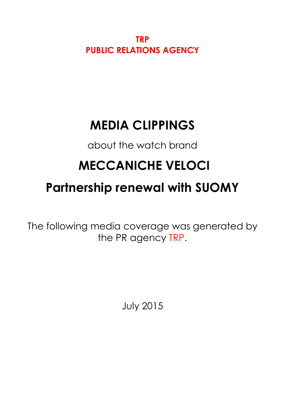**TRP PUBLIC RELATIONS AGENCY**

## **MEDIA CLIPPINGS**

about the watch brand

# **MECCANICHE VELOCI**

## **Partnership renewal with SUOMY**

The following media coverage was generated by the PR agency TRP.

July 2015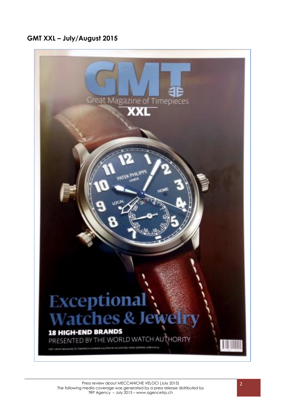### **GMT XXL – July/August 2015**

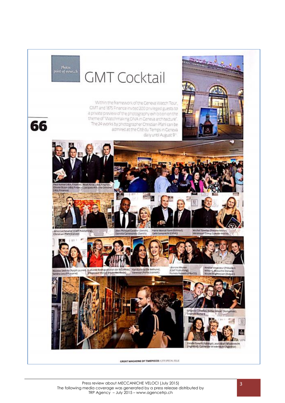Photos<br>point-of-views.ch

66

# **GMT Cocktail**

Within the framework of the Geneva Watch Tour, GMT and 1875 Finance invited 200 privileged guests to a private preview of the photography exhibition on the theme of "Watchmaking DNA in Geneva architecture" The 24 works by photographer Christian Pfahl can be admired at the Oté du Temps in Ceneva daily until August 9th

nce), Aksel Azrac (1875 Finance<br>Neccli Jacques Alfraine Crime **Bas Fin ATAP** Michel Tev



u (FP) purne)

Nicolas Sestito (Ralph Lauren), Ludwine Rodriguyz (Van der Bauwese), Katolja Valy (De Bethune),<br>Sandra Leu (FP) purne) [Wikowaue Wyss@onder@etrikede) | Vannisa Chicha (Koneek)

Léonore Meylen<br>(CMT Publishing),<br>(Pamela Rudaelli (PRoCD)

Amélie Vavasseur (Présidènt

Wilson), Massimo Donada,<br>Nicole Boghosvan (Bvlgan)

eles (Speake-Mann)<br>Coerg (Speake-Mann)



GREAT MAGAZINE OF TIMEPIECES I 205 SPECIAL SSUE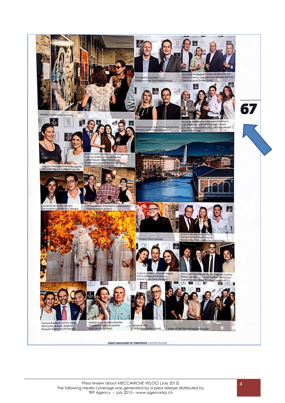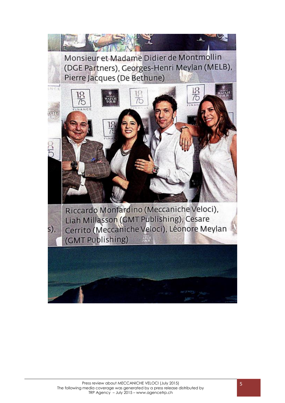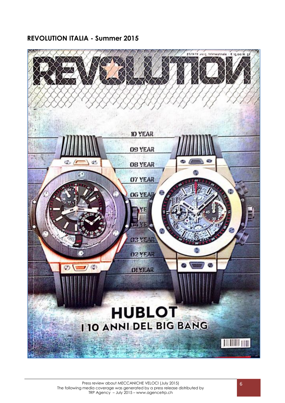### **REVOLUTION ITALIA - Summer 2015**

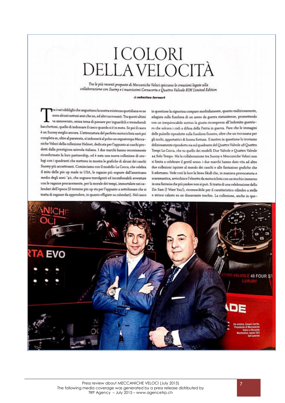# **ICOLORI DELLA VELOCITÀ**

Tra le più recenti proposte di Meccaniche Veloci spiccano le creazioni legate alla collaborazione con Suomy e i nuovissimi Corsacorta e Quattro Valvole RIM Limited Edition

#### & schedup turners

ra i vari obblighi che angustiano la nostra esistenza quotidiana ve ne sono alcuni astrusi anzi che no, ed altri sacrosanti. Tra questi ultimi va annoverato, senza tema di passare per inguaribili e tremebondi bacchettoni, quello di indossare il casco quando si è in moto. Se poi il casco è un Suomy meglio ancora. L'attrezzatura del perfetto motociclista sarà poi completa se, oltre al paratesta, si indosserà al polso un segnatempo Meccaniche Veloci della collezione Helmet, dedicata per l'appunto ai caschi prodotti dalla prestigiosa azienda italiana. I due marchi hanno recentemente riconfermato la loro partnership, ed è nata una nuova collezione di orologi con i quadranti che mettono in mostra le grafiche di alcuni dei caschi Suomy più accattivanti. Cominciamo con il modello La Cocca, che celebra il mito delle pin up made in USA, le ragazze più sognate dall'americano medio degli anni '40, che sognava travolgenti ed inconfessabili avventure con le ragazze procacemente, per la morale dei tempi, immortalate nei calendari dell'epoca (il termine pin up sta per l'appunto a sottolineare che si tratta di ragazze da appendere, in quanto effigiate su calendari). Nel casco

in questione la signorina compare morbidamente, quanto maliziosamente, adagiata sulla fusoliera di un aereo da guerra statunitense, promettendo con un inequivocabile sorriso la giusta ricompensa all'indomito guerriero che solcava i cieli a difesa della Patria in guerra. Pare che le immagini delle pulzelle riprodotte sulla fusoliera fossero, oltre che un toccasana per gli occhi, apportatrici di buona fortuna. Il motivo in questione lo troviamo deliziosamente riprodotto sia sul quadrante del Quattro Valvole 48 Quattro Tempi La Cocca, che su quello dei modelli Due Valvole e Quattro Valvole 44 Solo Tempo. Ma la collaborazione tra Suomy e Meccaniche Veloci non si limita a celebrare il gentil sesso: i due marchi hanno dato vita ad altre due collezioni ispirate al mondo dei caschi e alle fantasiose grafiche che li adornano. Vede così la luce la linea Skull che, in maniera provocatoria e scaramantica, arricchisce l'elmetto da motociclista con un teschio immerso in una fantasia che più yankee non si può. Si tratta di una celebrazione dello Zio Sam (I Want You!), riconoscibile per il caratteristico cilindro a stelle e strisce calzato su un dissacrante teschio. La collezione, anche in que-

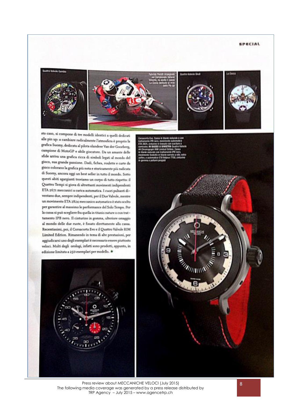#### **SPECIAL**



sto caso, si compone di tre modelli identici a quelli dedicati alle pin up: a cambiare radicalmente l'atmosfera è proprio la grafica Suomy, dedicata al pilota olandese Van der Goorberg, campione di MotoGP e abile giocatore. Da un amante delle sfide arriva una grafica ricca di simboli legati al mondo del gioco, sua grande passione. Dadi, fiches, roulette e carte da gioco colorano la grafica più nota e storicamente più radicata di Suomy, ancora oggi un best seller in tutto il mondo. Sotto questi abiti sgargianti troviamo un corpo di tutto rispetto: il Quattro Tempi si giova di altrettanti movimenti indipendenti ETA 2671 meccanici a carica automatica. I cuori pulsanti diventano due, sempre indipendenti, per il Due Valvole, mentre un movimento ETA 2824 meccanico automatico è stato scelto per garantire al massimo le performance del Solo Tempo. Per la cassa si può scegliere fra quella in titanio nature o con trattamento IPB nero. Il cinturino in gomma, ulteriore omaggio al mondo delle due ruote, è fissato direttamente alla cassa. Recentissimi, poi, il Corsacorta Evo e il Quattro Valvole RIM Limited Edition. Rimanendo in tema di alte prestazioni, per aggiudicarsi uno degli esemplari è necessario essere piuttosto veloci. Molti degli orologi, infatti sono prodotti, appunto, in edizione limitata a 250 esemplari per modello.





Press review about MECCANICHE VELOCI (July 2015) The following media coverage was generated by a press release distributed by TRP Agency – July 2015 – www.agencetrp.ch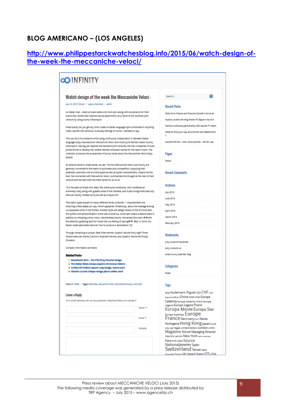### **BLOG AMERICANO – (LOS ANGELES)**

### **[http://www.philippestarckwatchesblog.info/2015/06/watch-design-of](http://www.philippestarckwatchesblog.info/2015/06/watch-design-of-the-week-the-meccaniche-veloci/)[the-week-the-meccaniche-veloci/](http://www.philippestarckwatchesblog.info/2015/06/watch-design-of-the-week-the-meccaniche-veloci/)**

| <b>OO</b> INFINITY                                                                                                                                                                            |                |                                                   |
|-----------------------------------------------------------------------------------------------------------------------------------------------------------------------------------------------|----------------|---------------------------------------------------|
|                                                                                                                                                                                               |                | ø<br>Search                                       |
| Watch design of the week the Meccaniche Veloci -                                                                                                                                              |                |                                                   |
| June 13, 2015 7:04 pm / Leave a Comment / admin                                                                                                                                               |                | <b>Recent Posts</b>                               |
| An italian man, observe brand adds a lot more pen along with exuberance for their                                                                                                             |                | Skills from France and Franche-Comté in force at  |
| brand-new, street bike inspired look at assortment, as a result of the renewed joint<br>venture by using Suomy Motorsport                                                                     |                |                                                   |
|                                                                                                                                                                                               |                | Hublot unveils the King Power PC Bayern Munich    |
| What exactly do you get any time 2 stats of Italian language style combination? Anything<br>initial, packed with persona, is actually feelings of humor, needless to say!                     |                | Certina continues partnership with Sauber F1 team |
|                                                                                                                                                                                               |                | Need to find your way around the new BaseMorld    |
| This can be a circumstance while using continuous collaboration in between Italian                                                                                                            |                | т                                                 |
| language enjoy manufacturer Meccaniche Veloci and motorcycle helmet creator Suomy                                                                                                             |                | Laurent Ferrier – ever more precise – Ferrier Lau |
| Motorsport. Having just repaired the standard joint ventures, the two companies include                                                                                                       |                |                                                   |
| joined forces to develop the newest Helmet wristwatch series for the watch brand. The                                                                                                         |                |                                                   |
| collection produces the accessories of Suomy boots about the Meccaniche Veloci enjoy                                                                                                          |                | Pages                                             |
| people.                                                                                                                                                                                       |                | <b>About</b>                                      |
| Its alliance tends to make sense, as well. The two Meccaniche Veloci and Suomy are                                                                                                            |                |                                                   |
| generally connected to the realm of quickness plus competition, supplying their                                                                                                               |                |                                                   |
| potential customers one of a kind types as well as stylish characteristics. Cesare Cerrito,                                                                                                   |                | <b>Recent Comments</b>                            |
| Exec Ceo connected with Meccaniche Veloci, summarizes the thought at the rear of their                                                                                                        |                |                                                   |
| venture and the start with the fresh series for all of us:                                                                                                                                    |                |                                                   |
| "It is focused on those who really like motorcycle ownership, who constitute an                                                                                                               |                | <b>Archives</b>                                   |
| extremely lively along with grateful area of the clientele, and it also brings folks that only                                                                                                |                | July 2015                                         |
| discover Suomy models funny as well as unique.Inch                                                                                                                                            |                |                                                   |
| This watch types explain to many different kinds of stories. 1 characteristics the                                                                                                            |                | lune 2015                                         |
| enduring United states pin-ups, whom appeared, flirtatiously, about the fuselage among                                                                                                        |                | May 2015                                          |
| us warplanes while in the Forties. Another style and design draws on the of Uncle Sam,                                                                                                        |                | <b>April 2015</b>                                 |
| the symbol and personification of the usa of America. Uncle Sam wears a feature stars in                                                                                                      |                | March 2015                                        |
| addition to whipping prime crown. Nevertheless Suomy reinvented this mark $\Phi\Phi$ with<br>the attention grabbing skull for those with a a feeling of daring $\Phi\Phi$ . Bear in mind, the |                |                                                   |
| Italian made associates discover how to produce a declaration! (VJ)                                                                                                                           |                | February 2015                                     |
| Through remaining to proper: Best Mike helmet; Quattro Valvole Forty eight Three                                                                                                              |                |                                                   |
| Cerebrovascular events Cranium; Expected Valvole; plus Quattro Valvole 46 Simply                                                                                                              |                | <b>Bookmarks</b>                                  |
| Occasion.                                                                                                                                                                                     |                | juicy couture tracksuits                          |
| Complex information and facts:                                                                                                                                                                |                |                                                   |
|                                                                                                                                                                                               |                | juicy couture uk                                  |
| <b>Related Pests:</b>                                                                                                                                                                         |                | swiss luxury watches blog                         |
| 1. BaseWorld 2012 - The P6510 by Porsche Design                                                                                                                                               |                |                                                   |
| 2. The Italian Binda Group acquires US Geneva Watch (<br>3. Certina DS Podium Square Lady design, charm and (                                                                                 |                | Categories                                        |
| 4. Maurice Lacroix Unique design pieces online aucti                                                                                                                                          |                |                                                   |
|                                                                                                                                                                                               |                | <b>Posts</b>                                      |
|                                                                                                                                                                                               |                |                                                   |
| Posted in: Posts / Taggett Best Mike, Meccaniche Veloci, Nevertheless Suomy, Undie Sam                                                                                                        |                | Tags                                              |
|                                                                                                                                                                                               |                | asia Audemars Piguet ceo CHF crue                 |
| Leave a Reply                                                                                                                                                                                 |                | Discutive Officer China COSC DNA Europa           |
| Your email address will not be published. Required fields are marked *                                                                                                                        |                | Celebrity Europa Celebrity Premi Europa           |
|                                                                                                                                                                                               | Name *         | Legend Europa Legend Premi                        |
|                                                                                                                                                                                               |                | Europa Movie Europa Star                          |
|                                                                                                                                                                                               |                | Europa Superstar Europe                           |
|                                                                                                                                                                                               | Email *        | France Germany our Haute                          |
|                                                                                                                                                                                               |                | Horlogerie HONG KONG japan June                   |
|                                                                                                                                                                                               | <b>Website</b> | July Las Vegas Limited Edition London LVMH        |
|                                                                                                                                                                                               |                | <b>Magazine Issue Managing Director</b>           |
|                                                                                                                                                                                               |                | Maurice Lacroix New York Narth American           |
|                                                                                                                                                                                               |                | Paris PVD SIHH SOUTCE                             |
|                                                                                                                                                                                               |                | Nationaljeweler Spain                             |
|                                                                                                                                                                                               |                | Switzerland Taiwan Tazio                          |
|                                                                                                                                                                                               |                | Nuvolari Tokyo UK United States US USA            |